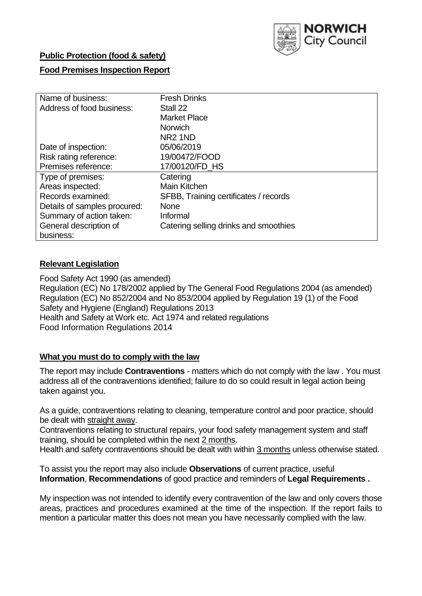

## **Public Protection (food & safety)**

## **Food Premises Inspection Report**

| Name of business:            | <b>Fresh Drinks</b>                   |
|------------------------------|---------------------------------------|
| Address of food business:    | Stall 22                              |
|                              | <b>Market Place</b>                   |
|                              | <b>Norwich</b>                        |
|                              | NR <sub>2</sub> 1ND                   |
| Date of inspection:          | 05/06/2019                            |
| Risk rating reference:       | 19/00472/FOOD                         |
| Premises reference:          | 17/00120/FD HS                        |
| Type of premises:            | Catering                              |
| Areas inspected:             | Main Kitchen                          |
| Records examined:            | SFBB, Training certificates / records |
| Details of samples procured: | <b>None</b>                           |
| Summary of action taken:     | Informal                              |
| General description of       | Catering selling drinks and smoothies |
| business:                    |                                       |

## **Relevant Legislation**

Food Safety Act 1990 (as amended) Regulation (EC) No 178/2002 applied by The General Food Regulations 2004 (as amended) Regulation (EC) No 852/2004 and No 853/2004 applied by Regulation 19 (1) of the Food Safety and Hygiene (England) Regulations 2013 Health and Safety at Work etc. Act 1974 and related regulations Food Information Regulations 2014

## **What you must do to comply with the law**

The report may include **Contraventions** - matters which do not comply with the law . You must address all of the contraventions identified; failure to do so could result in legal action being taken against you.

As a guide, contraventions relating to cleaning, temperature control and poor practice, should be dealt with straight away.

Contraventions relating to structural repairs, your food safety management system and staff training, should be completed within the next 2 months.

Health and safety contraventions should be dealt with within 3 months unless otherwise stated.

To assist you the report may also include **Observations** of current practice, useful **Information**, **Recommendations** of good practice and reminders of **Legal Requirements .**

My inspection was not intended to identify every contravention of the law and only covers those areas, practices and procedures examined at the time of the inspection. If the report fails to mention a particular matter this does not mean you have necessarily complied with the law.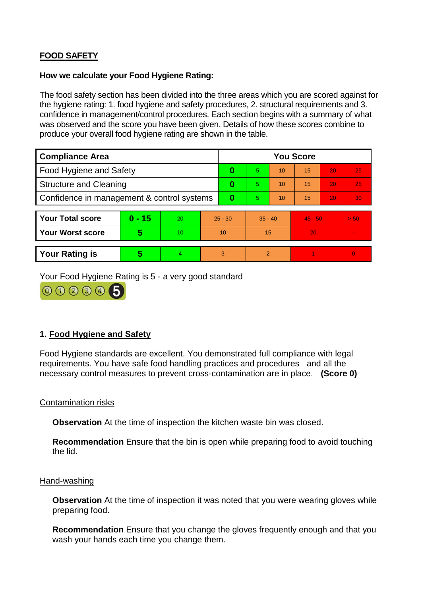# **FOOD SAFETY**

### **How we calculate your Food Hygiene Rating:**

The food safety section has been divided into the three areas which you are scored against for the hygiene rating: 1. food hygiene and safety procedures, 2. structural requirements and 3. confidence in management/control procedures. Each section begins with a summary of what was observed and the score you have been given. Details of how these scores combine to produce your overall food hygiene rating are shown in the table.

| <b>Compliance Area</b>                     |          |    |           | <b>You Score</b> |                |    |           |    |                |  |  |
|--------------------------------------------|----------|----|-----------|------------------|----------------|----|-----------|----|----------------|--|--|
| Food Hygiene and Safety                    |          |    |           | 0                | 5              | 10 | 15        | 20 | 25             |  |  |
| <b>Structure and Cleaning</b>              |          |    | 0         | 5                | 10             | 15 | 20        | 25 |                |  |  |
| Confidence in management & control systems |          |    | 0         | 5                | 10             | 15 | 20        | 30 |                |  |  |
|                                            |          |    |           |                  |                |    |           |    |                |  |  |
| <b>Your Total score</b>                    | $0 - 15$ | 20 | $25 - 30$ |                  | $35 - 40$      |    | $45 - 50$ |    | > 50           |  |  |
| <b>Your Worst score</b>                    | 5        | 10 | 10        |                  | 15             |    | 20        |    | $\blacksquare$ |  |  |
|                                            |          |    |           |                  |                |    |           |    |                |  |  |
| <b>Your Rating is</b>                      | 5        | 4  | 3         |                  | $\overline{2}$ |    |           |    | $\Omega$       |  |  |

Your Food Hygiene Rating is 5 - a very good standard



## **1. Food Hygiene and Safety**

Food Hygiene standards are excellent. You demonstrated full compliance with legal requirements. You have safe food handling practices and procedures and all the necessary control measures to prevent cross-contamination are in place. **(Score 0)**

## Contamination risks

**Observation** At the time of inspection the kitchen waste bin was closed.

**Recommendation** Ensure that the bin is open while preparing food to avoid touching the lid.

#### Hand-washing

**Observation** At the time of inspection it was noted that you were wearing gloves while preparing food.

**Recommendation** Ensure that you change the gloves frequently enough and that you wash your hands each time you change them.